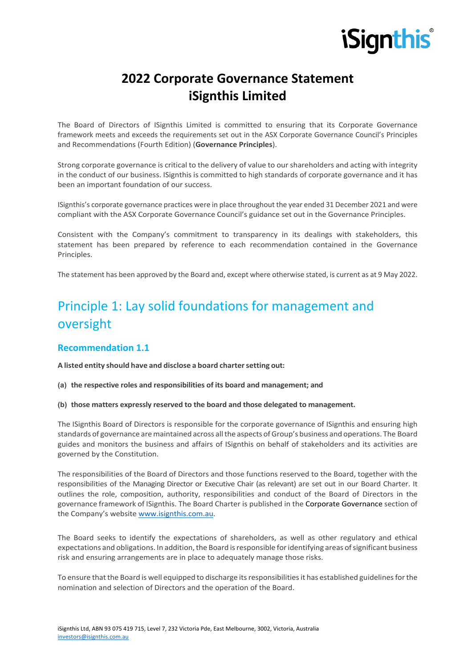# **2022 Corporate Governance Statement iSignthis Limited**

The Board of Directors of ISignthis Limited is committed to ensuring that its Corporate Governance framework meets and exceeds the requirements set out in the ASX Corporate Governance Council's Principles and Recommendations (Fourth Edition) (**Governance Principles**).

Strong corporate governance is critical to the delivery of value to our shareholders and acting with integrity in the conduct of our business. ISignthis is committed to high standards of corporate governance and it has been an important foundation of our success.

ISignthis's corporate governance practices were in place throughout the year ended 31 December 2021 and were compliant with the ASX Corporate Governance Council's guidance set out in the Governance Principles.

Consistent with the Company's commitment to transparency in its dealings with stakeholders, this statement has been prepared by reference to each recommendation contained in the Governance Principles.

The statement has been approved by the Board and, except where otherwise stated, is current as at 9 May 2022.

# Principle 1: Lay solid foundations for management and oversight

## **Recommendation 1.1**

**A listed entity should have and disclose a board chartersetting out:**

**(a) the respective roles and responsibilities of its board and management; and**

#### **(b) those matters expressly reserved to the board and those delegated to management.**

The ISignthis Board of Directors is responsible for the corporate governance of ISignthis and ensuring high standards of governance are maintained across all the aspects of Group's business and operations. The Board guides and monitors the business and affairs of ISignthis on behalf of stakeholders and its activities are governed by the Constitution.

The responsibilities of the Board of Directors and those functions reserved to the Board, together with the responsibilities of the Managing Director or Executive Chair (as relevant) are set out in our Board Charter. It outlines the role, composition, authority, responsibilities and conduct of the Board of Directors in the governance framework of ISignthis. The Board Charter is published in the Corporate Governance section of the Company's website www.isignthis.com.au.

The Board seeks to identify the expectations of shareholders, as well as other regulatory and ethical expectations and obligations. In addition, the Board is responsible for identifying areas of significant business risk and ensuring arrangements are in place to adequately manage those risks.

To ensure that the Board is well equipped to discharge its responsibilities it has established guidelines for the nomination and selection of Directors and the operation of the Board.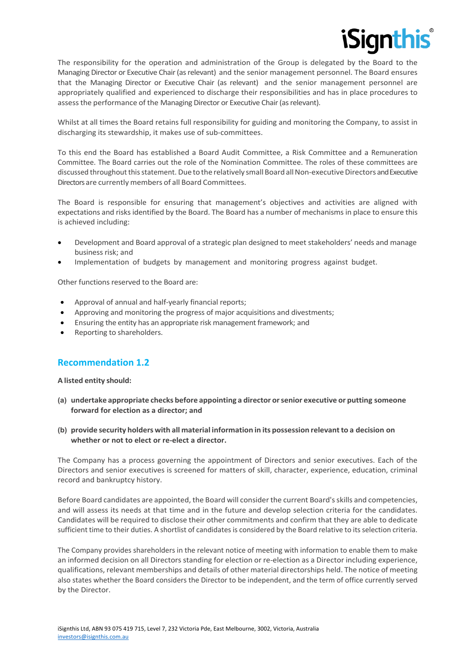

The responsibility for the operation and administration of the Group is delegated by the Board to the Managing Director or Executive Chair (as relevant) and the senior management personnel. The Board ensures that the Managing Director or Executive Chair (as relevant) and the senior management personnel are appropriately qualified and experienced to discharge their responsibilities and has in place procedures to assessthe performance of the Managing Director or Executive Chair (as relevant).

Whilst at all times the Board retains full responsibility for guiding and monitoring the Company, to assist in discharging its stewardship, it makes use of sub-committees.

To this end the Board has established a Board Audit Committee, a Risk Committee and a Remuneration Committee. The Board carries out the role of the Nomination Committee. The roles of these committees are discussed throughout this statement. Due to the relatively small Board all Non-executive Directors and Executive Directors are currently members of all Board Committees.

The Board is responsible for ensuring that management's objectives and activities are aligned with expectations and risks identified by the Board. The Board has a number of mechanisms in place to ensure this is achieved including:

- Development and Board approval of a strategic plan designed to meet stakeholders' needs and manage business risk; and
- Implementation of budgets by management and monitoring progress against budget.

Other functions reserved to the Board are:

- Approval of annual and half-yearly financial reports;
- Approving and monitoring the progress of major acquisitions and divestments;
- Ensuring the entity has an appropriate risk management framework; and
- Reporting to shareholders.

## **Recommendation 1.2**

**A listed entity should:**

- **(a) undertake appropriate checks before appointing a director orsenior executive or putting someone forward for election as a director; and**
- **(b) provide security holders with all material information in its possession relevantto a decision on whether or not to elect or re-elect a director.**

The Company has a process governing the appointment of Directors and senior executives. Each of the Directors and senior executives is screened for matters of skill, character, experience, education, criminal record and bankruptcy history.

Before Board candidates are appointed, the Board will consider the current Board'sskills and competencies, and will assess its needs at that time and in the future and develop selection criteria for the candidates. Candidates will be required to disclose their other commitments and confirm that they are able to dedicate sufficient time to their duties. A shortlist of candidates is considered by the Board relative to its selection criteria.

The Company provides shareholders in the relevant notice of meeting with information to enable them to make an informed decision on all Directors standing for election or re-election as a Director including experience, qualifications, relevant memberships and details of other material directorships held. The notice of meeting also states whether the Board considers the Director to be independent, and the term of office currently served by the Director.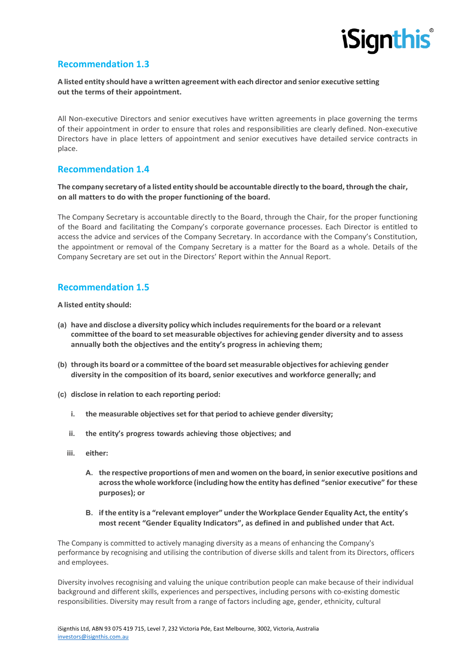

## **Recommendation 1.3**

#### **A listed entity should have a written agreement with each director and senior executive setting out the terms of their appointment.**

All Non-executive Directors and senior executives have written agreements in place governing the terms of their appointment in order to ensure that roles and responsibilities are clearly defined. Non-executive Directors have in place letters of appointment and senior executives have detailed service contracts in place.

# **Recommendation 1.4**

#### **The company secretary of a listed entity should be accountable directly to the board,through the chair, on all matters to do with the proper functioning of the board.**

The Company Secretary is accountable directly to the Board, through the Chair, for the proper functioning of the Board and facilitating the Company's corporate governance processes. Each Director is entitled to access the advice and services of the Company Secretary. In accordance with the Company's Constitution, the appointment or removal of the Company Secretary is a matter for the Board as a whole. Details of the Company Secretary are set out in the Directors' Report within the Annual Report.

# **Recommendation 1.5**

**A listed entity should:**

- **(a) have and disclose a diversity policy which includesrequirementsforthe board or a relevant committee of the board to set measurable objectivesfor achieving gender diversity and to assess annually both the objectives and the entity's progress in achieving them;**
- **(b) through its board or a committee ofthe board set measurable objectivesfor achieving gender diversity in the composition of its board, senior executives and workforce generally; and**
- **(c) disclose in relation to each reporting period:**
	- **i. the measurable objectives set for that period to achieve gender diversity;**
	- **ii. the entity's progress towards achieving those objectives; and**
	- **iii. either:**
		- **A. the respective proportions of men and women on the board, in senior executive positions and acrossthe whole workforce (including howthe entity has defined "senior executive" for these purposes); or**
		- **B. ifthe entity is a "relevant employer" underthe Workplace Gender Equality Act,the entity's most recent "Gender Equality Indicators", as defined in and published under that Act.**

The Company is committed to actively managing diversity as a means of enhancing the Company's performance by recognising and utilising the contribution of diverse skills and talent from its Directors, officers and employees.

Diversity involves recognising and valuing the unique contribution people can make because of their individual background and different skills, experiences and perspectives, including persons with co-existing domestic responsibilities. Diversity may result from a range of factors including age, gender, ethnicity, cultural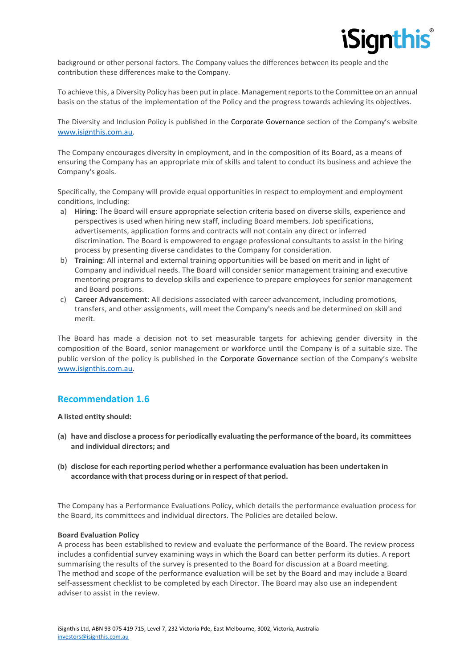

background or other personal factors. The Company values the differences between its people and the contribution these differences make to the Company.

To achieve this, a Diversity Policy has been put in place. Management reports to the Committee on an annual basis on the status of the implementation of the Policy and the progress towards achieving its objectives.

The Diversity and Inclusion Policy is published in the Corporate Governance section of the Company's website www.isignthis.com.au.

The Company encourages diversity in employment, and in the composition of its Board, as a means of ensuring the Company has an appropriate mix of skills and talent to conduct its business and achieve the Company's goals.

Specifically, the Company will provide equal opportunities in respect to employment and employment conditions, including:

- a) **Hiring**: The Board will ensure appropriate selection criteria based on diverse skills, experience and perspectives is used when hiring new staff, including Board members. Job specifications, advertisements, application forms and contracts will not contain any direct or inferred discrimination. The Board is empowered to engage professional consultants to assist in the hiring process by presenting diverse candidates to the Company for consideration.
- b) **Training**: All internal and external training opportunities will be based on merit and in light of Company and individual needs. The Board will consider senior management training and executive mentoring programs to develop skills and experience to prepare employees for senior management and Board positions.
- c) **Career Advancement**: All decisions associated with career advancement, including promotions, transfers, and other assignments, will meet the Company's needs and be determined on skill and merit.

The Board has made a decision not to set measurable targets for achieving gender diversity in the composition of the Board, senior management or workforce until the Company is of a suitable size. The public version of the policy is published in the Corporate Governance section of the Company's website www.isignthis.com.au.

#### **Recommendation 1.6**

**A listed entity should:**

- **(a) have and disclose a processfor periodically evaluating the performance ofthe board, its committees and individual directors; and**
- **(b) disclose for each reporting period whether a performance evaluation has been undertaken in accordance with that process during orin respect ofthat period.**

The Company has a Performance Evaluations Policy, which details the performance evaluation process for the Board, its committees and individual directors. The Policies are detailed below.

#### **Board Evaluation Policy**

A process has been established to review and evaluate the performance of the Board. The review process includes a confidential survey examining ways in which the Board can better perform its duties. A report summarising the results of the survey is presented to the Board for discussion at a Board meeting. The method and scope of the performance evaluation will be set by the Board and may include a Board self-assessment checklist to be completed by each Director. The Board may also use an independent adviser to assist in the review.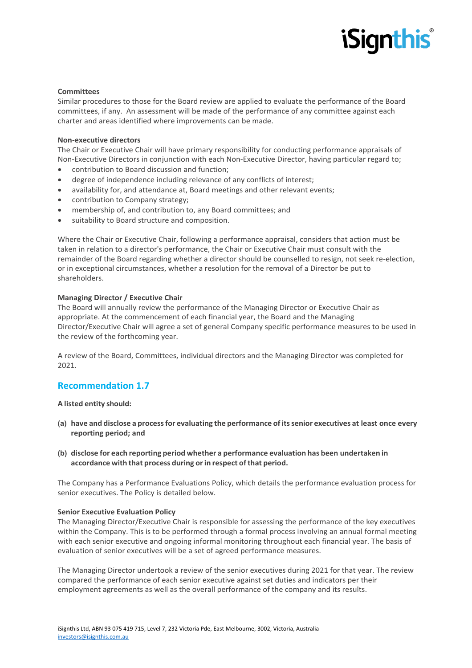#### **Committees**

Similar procedures to those for the Board review are applied to evaluate the performance of the Board committees, if any. An assessment will be made of the performance of any committee against each charter and areas identified where improvements can be made.

#### **Non-executive directors**

The Chair or Executive Chair will have primary responsibility for conducting performance appraisals of Non-Executive Directors in conjunction with each Non-Executive Director, having particular regard to;

- contribution to Board discussion and function;
- degree of independence including relevance of any conflicts of interest;
- availability for, and attendance at, Board meetings and other relevant events;
- contribution to Company strategy;
- membership of, and contribution to, any Board committees; and
- suitability to Board structure and composition.

Where the Chair or Executive Chair, following a performance appraisal, considers that action must be taken in relation to a director's performance, the Chair or Executive Chair must consult with the remainder of the Board regarding whether a director should be counselled to resign, not seek re-election, or in exceptional circumstances, whether a resolution for the removal of a Director be put to shareholders.

#### **Managing Director / Executive Chair**

The Board will annually review the performance of the Managing Director or Executive Chair as appropriate. At the commencement of each financial year, the Board and the Managing Director/Executive Chair will agree a set of general Company specific performance measures to be used in the review of the forthcoming year.

A review of the Board, Committees, individual directors and the Managing Director was completed for 2021.

## **Recommendation 1.7**

#### **A listed entity should:**

- **(a) have and disclose a processfor evaluating the performance of itssenior executives at least once every reporting period; and**
- **(b) disclose for each reporting period whether a performance evaluation has been undertaken in accordance with that process during orin respect ofthat period.**

The Company has a Performance Evaluations Policy, which details the performance evaluation process for senior executives. The Policy is detailed below.

#### **Senior Executive Evaluation Policy**

The Managing Director/Executive Chair is responsible for assessing the performance of the key executives within the Company. This is to be performed through a formal process involving an annual formal meeting with each senior executive and ongoing informal monitoring throughout each financial year. The basis of evaluation of senior executives will be a set of agreed performance measures.

The Managing Director undertook a review of the senior executives during 2021 for that year. The review compared the performance of each senior executive against set duties and indicators per their employment agreements as well as the overall performance of the company and its results.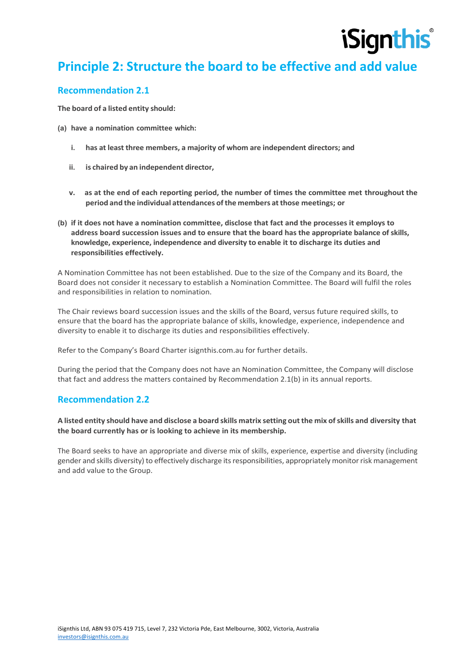

# **Principle 2: Structure the board to be effective and add value**

## **Recommendation 2.1**

**The board of a listed entity should:**

- **(a) have a nomination committee which:**
	- **i. has at least three members, a majority of whom are independent directors; and**
	- **ii. is chaired by an independent director,**
	- **v. as at the end of each reporting period, the number of times the committee met throughout the period and the individual attendances ofthe members atthose meetings; or**
- **(b) if it does not have a nomination committee, disclose that fact and the processes it employs to address board succession issues and to ensure that the board has the appropriate balance of skills, knowledge, experience, independence and diversity to enable it to discharge its duties and responsibilities effectively.**

A Nomination Committee has not been established. Due to the size of the Company and its Board, the Board does not consider it necessary to establish a Nomination Committee. The Board will fulfil the roles and responsibilities in relation to nomination.

The Chair reviews board succession issues and the skills of the Board, versus future required skills, to ensure that the board has the appropriate balance of skills, knowledge, experience, independence and diversity to enable it to discharge its duties and responsibilities effectively.

Refer to the Company's Board Charter isignthis.com.au for further details.

During the period that the Company does not have an Nomination Committee, the Company will disclose that fact and address the matters contained by Recommendation 2.1(b) in its annual reports.

#### **Recommendation 2.2**

#### A listed entity should have and disclose a board skills matrix setting out the mix of skills and diversity that **the board currently has or is looking to achieve in its membership.**

The Board seeks to have an appropriate and diverse mix of skills, experience, expertise and diversity (including gender and skills diversity) to effectively discharge its responsibilities, appropriately monitor risk management and add value to the Group.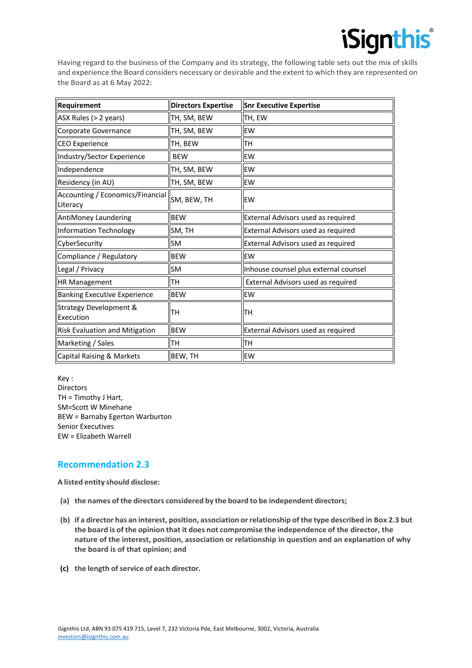Having regard to the business of the Company and its strategy, the following table sets out the mix of skills and experience the Board considers necessary or desirable and the extent to which they are represented on the Board as at 6 May 2022:

| <b>Requirement</b>                           | <b>Directors Expertise</b> | <b>Snr Executive Expertise</b>        |
|----------------------------------------------|----------------------------|---------------------------------------|
| ASX Rules (> 2 years)                        | TH, SM, BEW                | TH, EW                                |
| Corporate Governance                         | TH, SM, BEW                | EW                                    |
| CEO Experience                               | TH, BEW                    | ΠH                                    |
| Industry/Sector Experience                   | <b>BEW</b>                 | <b>EW</b>                             |
| Independence                                 | TH, SM, BEW                | <b>EW</b>                             |
| Residency (in AU)                            | TH, SM, BEW                | <b>EW</b>                             |
| Accounting / Economics/Financial<br>Literacy | SM, BEW, TH                | EW                                    |
| AntiMoney Laundering                         | <b>BEW</b>                 | External Advisors used as required    |
| Information Technology                       | SM, TH                     | External Advisors used as required    |
| CyberSecurity                                | <b>SM</b>                  | External Advisors used as required    |
| Compliance / Regulatory                      | <b>BEW</b>                 | EW                                    |
| Legal / Privacy                              | <b>SM</b>                  | Inhouse counsel plus external counsel |
| HR Management                                | TН                         | External Advisors used as required    |
| <b>Banking Executive Experience</b>          | <b>BEW</b>                 | EW                                    |
| Strategy Development &<br>Execution          | lтн                        | lтн                                   |
| Risk Evaluation and Mitigation               | <b>BEW</b>                 | External Advisors used as required    |
| Marketing / Sales                            | TН                         | TН                                    |
| Capital Raising & Markets                    | BEW, TH                    | <b>EW</b>                             |

Key : Directors TH = Timothy J Hart, SM=Scott W Minehane BEW = Barnaby Egerton Warburton Senior Executives EW = Elizabeth Warrell

# **Recommendation 2.3**

**A listed entity should disclose:**

- **(a) the names ofthe directors considered by the board to be independent directors;**
- **(b) if a director has an interest, position, association orrelationship ofthe type described in Box 2.3 but the board is of the opinion that it does not compromise the independence of the director, the nature of the interest, position, association or relationship in question and an explanation of why the board is of that opinion; and**
- **(c) the length ofservice of each director.**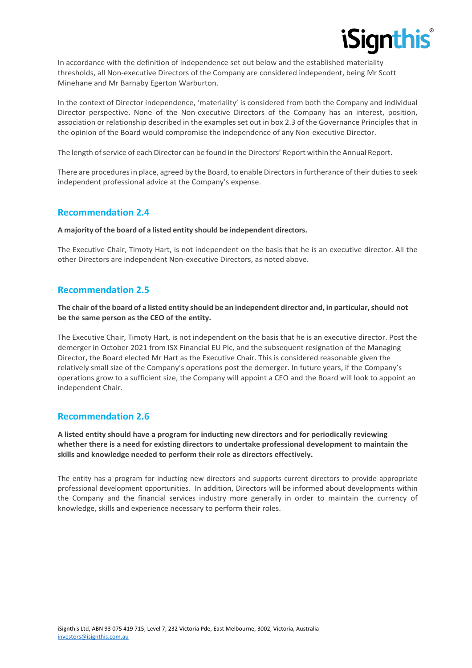

In accordance with the definition of independence set out below and the established materiality thresholds, all Non-executive Directors of the Company are considered independent, being Mr Scott Minehane and Mr Barnaby Egerton Warburton.

In the context of Director independence, 'materiality' is considered from both the Company and individual Director perspective. None of the Non-executive Directors of the Company has an interest, position, association or relationship described in the examples set out in box 2.3 of the Governance Principles that in the opinion of the Board would compromise the independence of any Non-executive Director.

The length of service of each Director can be found in the Directors' Report within the Annual Report.

There are procedures in place, agreed by the Board, to enable Directors in furtherance of their duties to seek independent professional advice at the Company's expense.

## **Recommendation 2.4**

#### **A majority ofthe board of a listed entity should be independent directors.**

The Executive Chair, Timoty Hart, is not independent on the basis that he is an executive director. All the other Directors are independent Non-executive Directors, as noted above.

## **Recommendation 2.5**

#### **The chair ofthe board of a listed entity should be an independent director and, in particular,should not be the same person as the CEO of the entity.**

The Executive Chair, Timoty Hart, is not independent on the basis that he is an executive director. Post the demerger in October 2021 from ISX Financial EU Plc, and the subsequent resignation of the Managing Director, the Board elected Mr Hart as the Executive Chair. This is considered reasonable given the relatively small size of the Company's operations post the demerger. In future years, if the Company's operations grow to a sufficient size, the Company will appoint a CEO and the Board will look to appoint an independent Chair.

# **Recommendation 2.6**

**A listed entity should have a program for inducting new directors and for periodically reviewing whether there is a need for existing directors to undertake professional development to maintain the skills and knowledge needed to perform their role as directors effectively.**

The entity has a program for inducting new directors and supports current directors to provide appropriate professional development opportunities. In addition, Directors will be informed about developments within the Company and the financial services industry more generally in order to maintain the currency of knowledge, skills and experience necessary to perform their roles.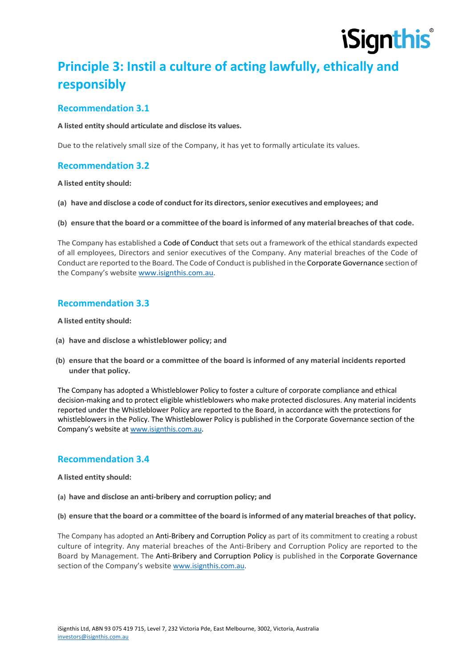

# **Principle 3: Instil a culture of acting lawfully, ethically and responsibly**

## **Recommendation 3.1**

#### **A listed entity should articulate and disclose its values.**

Due to the relatively small size of the Company, it has yet to formally articulate its values.

## **Recommendation 3.2**

#### **A listed entity should:**

**(a) have and disclose a code of conductforits directors,senior executives and employees; and**

**(b) ensure that the board or a committee of the board isinformed of any material breaches of that code.**

The Company has established a Code of Conduct that sets out a framework of the ethical standards expected of all employees, Directors and senior executives of the Company. Any material breaches of the Code of Conduct are reported to the Board. The Code of Conductis published in the CorporateGovernance section of the Company's website www.isignthis.com.au.

## **Recommendation 3.3**

#### **A listed entity should:**

- **(a) have and disclose a whistleblower policy; and**
- **(b) ensure that the board or a committee of the board is informed of any material incidents reported under that policy.**

The Company has adopted a Whistleblower Policy to foster a culture of corporate compliance and ethical decision-making and to protect eligible whistleblowers who make protected disclosures. Any material incidents reported under the Whistleblower Policy are reported to the Board, in accordance with the protections for whistleblowers in the Policy. The Whistleblower Policy is published in the Corporate Governance section of the Company's website at www.isignthis.com.au.

## **Recommendation 3.4**

#### **A listed entity should:**

- **(a) have and disclose an anti-bribery and corruption policy; and**
- **(b) ensure that the board or a committee of the board isinformed of any material breaches of that policy.**

The Company has adopted an Anti-Bribery and Corruption Policy as part of its commitment to creating a robust culture of integrity. Any material breaches of the Anti-Bribery and Corruption Policy are reported to the Board by Management. The Anti-Bribery and Corruption Policy is published in the Corporate Governance section of the Company's website www.isignthis.com.au.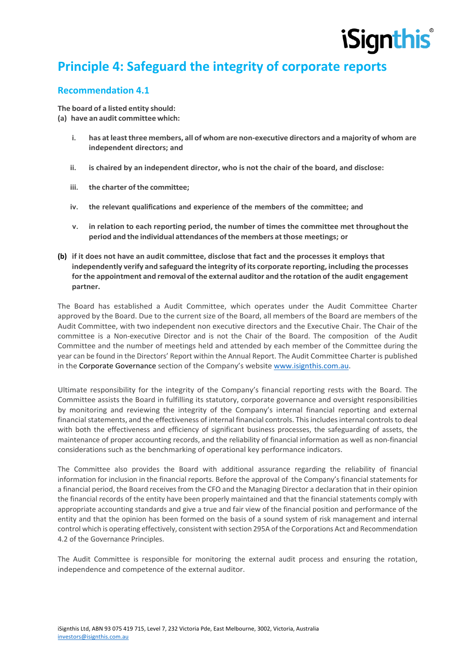# **Principle 4: Safeguard the integrity of corporate reports**

# **Recommendation 4.1**

**The board of a listed entity should: (a) have an audit committee which:**

- **i. has atleastthree members, all of whom are non-executive directors and a majority of whom are independent directors; and**
- **ii. is chaired by an independent director, who is not the chair of the board, and disclose:**
- **iii. the charter of the committee;**
- **iv. the relevant qualifications and experience of the members of the committee; and**
- **v. in relation to each reporting period, the number of times the committee met throughoutthe period and the individual attendances ofthe members atthose meetings; or**
- **(b) if it does not have an audit committee, disclose that fact and the processes it employs that independently verify and safeguard the integrity of its corporate reporting, including the processes forthe appointment and removal ofthe external auditor and the rotation of the audit engagement partner.**

The Board has established a Audit Committee, which operates under the Audit Committee Charter approved by the Board. Due to the current size of the Board, all members of the Board are members of the Audit Committee, with two independent non executive directors and the Executive Chair. The Chair of the committee is a Non-executive Director and is not the Chair of the Board. The composition of the Audit Committee and the number of meetings held and attended by each member of the Committee during the year can be found in the Directors' Report within the Annual Report. The Audit Committee Charter is published in the Corporate Governance section of the Company's website www.isignthis.com.au.

Ultimate responsibility for the integrity of the Company's financial reporting rests with the Board. The Committee assists the Board in fulfilling its statutory, corporate governance and oversight responsibilities by monitoring and reviewing the integrity of the Company's internal financial reporting and external financial statements, and the effectiveness of internal financial controls. This includes internal controls to deal with both the effectiveness and efficiency of significant business processes, the safeguarding of assets, the maintenance of proper accounting records, and the reliability of financial information as well as non-financial considerations such as the benchmarking of operational key performance indicators.

The Committee also provides the Board with additional assurance regarding the reliability of financial information for inclusion in the financial reports. Before the approval of the Company's financial statements for a financial period, the Board receives from the CFO and the Managing Director a declaration that in their opinion the financial records of the entity have been properly maintained and that the financial statements comply with appropriate accounting standards and give a true and fair view of the financial position and performance of the entity and that the opinion has been formed on the basis of a sound system of risk management and internal control which is operating effectively, consistent with section 295A ofthe Corporations Act and Recommendation 4.2 of the Governance Principles.

The Audit Committee is responsible for monitoring the external audit process and ensuring the rotation, independence and competence of the external auditor.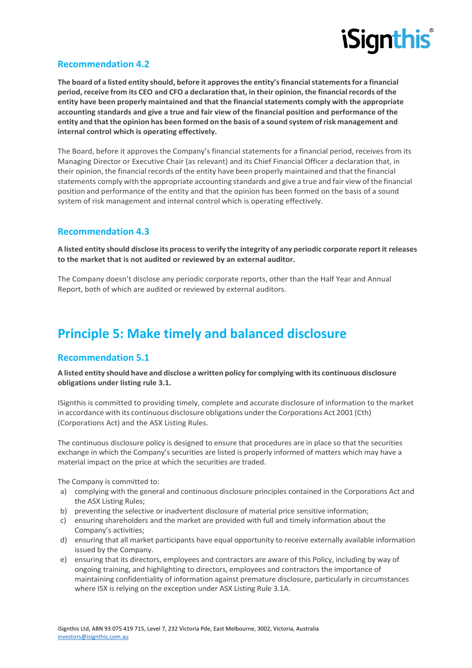

# **Recommendation 4.2**

**The board of a listed entity should, before it approvesthe entity'sfinancialstatementsfor a financial period,receive from its CEO and CFO a declaration that, in their opinion, the financial records of the entity have been properly maintained and that the financialstatements comply with the appropriate accounting standards and give a true and fair view of the financial position and performance of the**  entity and that the opinion has been formed on the basis of a sound system of risk management and **internal control which is operating effectively.**

The Board, before it approves the Company's financial statements for a financial period, receives from its Managing Director or Executive Chair (as relevant) and its Chief Financial Officer a declaration that, in their opinion, the financial records of the entity have been properly maintained and that the financial statements comply with the appropriate accounting standards and give a true and fair view ofthe financial position and performance of the entity and that the opinion has been formed on the basis of a sound system of risk management and internal control which is operating effectively.

## **Recommendation 4.3**

**A listed entity should disclose its processto verify the integrity of any periodic corporate reportit releases to the market that is not audited or reviewed by an external auditor.**

The Company doesn't disclose any periodic corporate reports, other than the Half Year and Annual Report, both of which are audited or reviewed by external auditors.

# **Principle 5: Make timely and balanced disclosure**

## **Recommendation 5.1**

**A listed entity should have and disclose a written policy for complying with its continuous disclosure obligations under listing rule 3.1.**

ISignthis is committed to providing timely, complete and accurate disclosure of information to the market in accordance with its continuous disclosure obligations underthe Corporations Act 2001 (Cth) (Corporations Act) and the ASX Listing Rules.

The continuous disclosure policy is designed to ensure that procedures are in place so that the securities exchange in which the Company's securities are listed is properly informed of matters which may have a material impact on the price at which the securities are traded.

The Company is committed to:

- a) complying with the general and continuous disclosure principles contained in the Corporations Act and the ASX Listing Rules;
- b) preventing the selective or inadvertent disclosure of material price sensitive information;
- c) ensuring shareholders and the market are provided with full and timely information about the Company's activities;
- d) ensuring that all market participants have equal opportunity to receive externally available information issued by the Company.
- e) ensuring that its directors, employees and contractors are aware of this Policy, including by way of ongoing training, and highlighting to directors, employees and contractors the importance of maintaining confidentiality of information against premature disclosure, particularly in circumstances where ISX is relying on the exception under ASX Listing Rule 3.1A.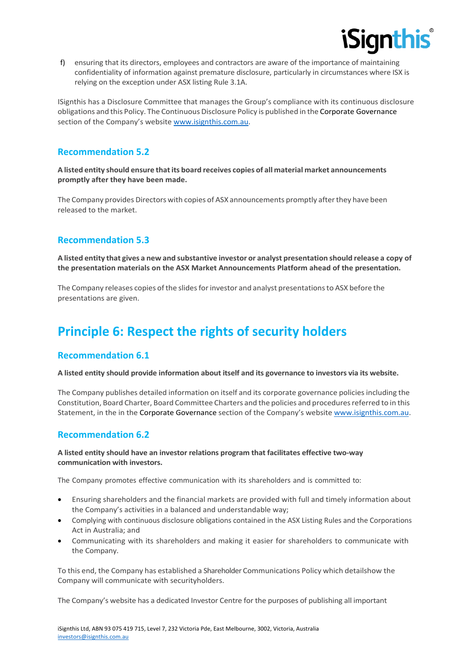

f) ensuring that its directors, employees and contractors are aware of the importance of maintaining confidentiality of information against premature disclosure, particularly in circumstances where ISX is relying on the exception under ASX listing Rule 3.1A.

ISignthis has a Disclosure Committee that manages the Group's compliance with its continuous disclosure obligations and this Policy. The Continuous Disclosure Policy is published in the Corporate Governance section of the Company's website www.isignthis.com.au.

# **Recommendation 5.2**

**A listed entity should ensure thatits board receives copies of all material market announcements promptly after they have been made.**

The Company provides Directors with copies of ASX announcements promptly afterthey have been released to the market.

# **Recommendation 5.3**

**A listed entity that gives a new and substantive investor or analyst presentation should release a copy of the presentation materials on the ASX Market Announcements Platform ahead of the presentation.**

The Company releases copies of the slides for investor and analyst presentations to ASX before the presentations are given.

# **Principle 6: Respect the rights of security holders**

## **Recommendation 6.1**

#### **A listed entity should provide information about itself and its governance to investors via its website.**

The Company publishes detailed information on itself and its corporate governance policies including the Constitution, Board Charter, Board Committee Charters and the policies and proceduresreferred to in this Statement, in the in the Corporate Governance section of the Company's website www.isignthis.com.au.

## **Recommendation 6.2**

#### **A listed entity should have an investor relations program that facilitates effective two-way communication with investors.**

The Company promotes effective communication with its shareholders and is committed to:

- Ensuring shareholders and the financial markets are provided with full and timely information about the Company's activities in a balanced and understandable way;
- Complying with continuous disclosure obligations contained in the ASX Listing Rules and the Corporations Act in Australia; and
- Communicating with its shareholders and making it easier for shareholders to communicate with the Company.

To this end, the Company has established a Shareholder Communications Policy which detailshow the Company will communicate with securityholders.

The Company's website has a dedicated Investor Centre for the purposes of publishing all important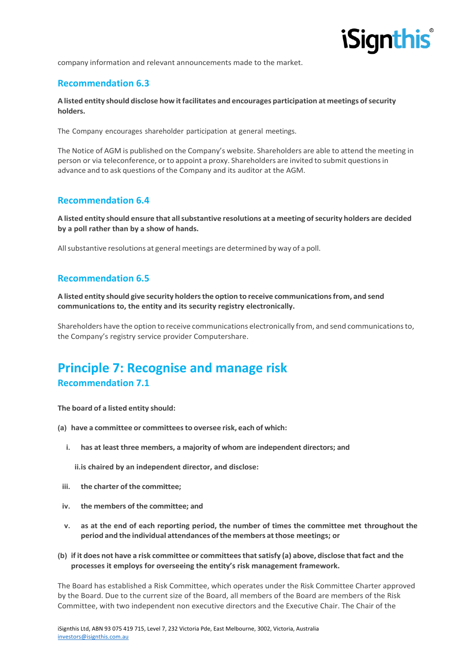

company information and relevant announcements made to the market.

#### **Recommendation 6.3**

**A listed entity should disclose how itfacilitates and encourages participation at meetings ofsecurity holders.**

The Company encourages shareholder participation at general meetings.

The Notice of AGM is published on the Company's website. Shareholders are able to attend the meeting in person or via teleconference, or to appoint a proxy. Shareholders are invited to submit questions in advance and to ask questions of the Company and its auditor at the AGM.

## **Recommendation 6.4**

**A listed entity should ensure that allsubstantive resolutions at a meeting ofsecurity holders are decided by a poll rather than by a show of hands.**

Allsubstantive resolutions at general meetings are determined by way of a poll.

# **Recommendation 6.5**

**A listed entity should give security holdersthe option to receive communicationsfrom, and send communications to, the entity and its security registry electronically.**

Shareholders have the option to receive communications electronically from, and send communicationsto, the Company's registry service provider Computershare.

# **Principle 7: Recognise and manage risk Recommendation 7.1**

**The board of a listed entity should:**

- **(a) have a committee or committeesto oversee risk, each of which:**
	- **i. has at least three members, a majority of whom are independent directors; and**

**ii.is chaired by an independent director, and disclose:**

- **iii. the charter of the committee;**
- **iv. the members of the committee; and**
- **v. as at the end of each reporting period, the number of times the committee met throughout the period and the individual attendances ofthe members atthose meetings; or**
- **(b) if it does not have a risk committee or committeesthatsatisfy (a) above, disclose thatfact and the processes it employs for overseeing the entity's risk management framework.**

The Board has established a Risk Committee, which operates under the Risk Committee Charter approved by the Board. Due to the current size of the Board, all members of the Board are members of the Risk Committee, with two independent non executive directors and the Executive Chair. The Chair of the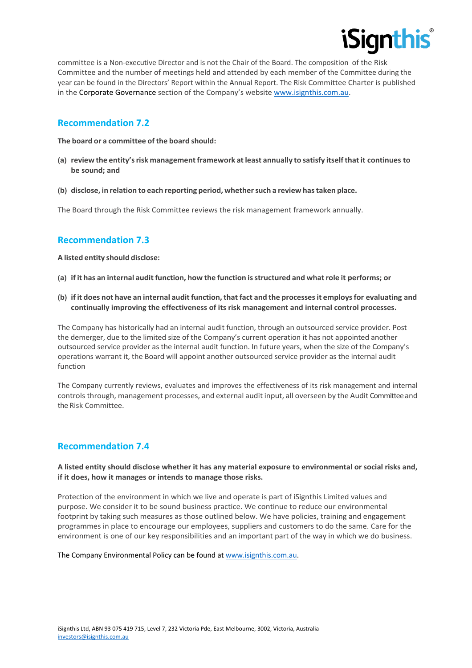

committee is a Non-executive Director and is not the Chair of the Board. The composition of the Risk Committee and the number of meetings held and attended by each member of the Committee during the year can be found in the Directors' Report within the Annual Report. The Risk Committee Charter is published in the Corporate Governance section of the Company's website www.isignthis.com.au.

#### **Recommendation 7.2**

**The board or a committee of the board should:**

- **(a) review the entity'srisk managementframework atleast annually to satisfy itselfthatit continues to be sound; and**
- **(b) disclose, in relation to each reporting period, whethersuch a review hastaken place.**

The Board through the Risk Committee reviews the risk management framework annually.

## **Recommendation 7.3**

**A listed entity should disclose:**

- **(a) if it has an internal audit function, how the function isstructured and whatrole it performs; or**
- **(b) if it does not have an internal audit function, that fact and the processesit employsfor evaluating and continually improving the effectiveness of its risk management and internal control processes.**

The Company has historically had an internal audit function, through an outsourced service provider. Post the demerger, due to the limited size of the Company's current operation it has not appointed another outsourced service provider as the internal audit function. In future years, when the size of the Company's operations warrant it, the Board will appoint another outsourced service provider as the internal audit function

The Company currently reviews, evaluates and improves the effectiveness of its risk management and internal controls through, management processes, and external audit input, all overseen by the Audit Committee and the Risk Committee.

## **Recommendation 7.4**

**A listed entity should disclose whether it has any material exposure to environmental or social risks and, if it does, how it manages or intends to manage those risks.**

Protection of the environment in which we live and operate is part of iSignthis Limited values and purpose. We consider it to be sound business practice. We continue to reduce our environmental footprint by taking such measures as those outlined below. We have policies, training and engagement programmes in place to encourage our employees, suppliers and customers to do the same. Care for the environment is one of our key responsibilities and an important part of the way in which we do business.

The Company Environmental Policy can be found at www.isignthis.com.au.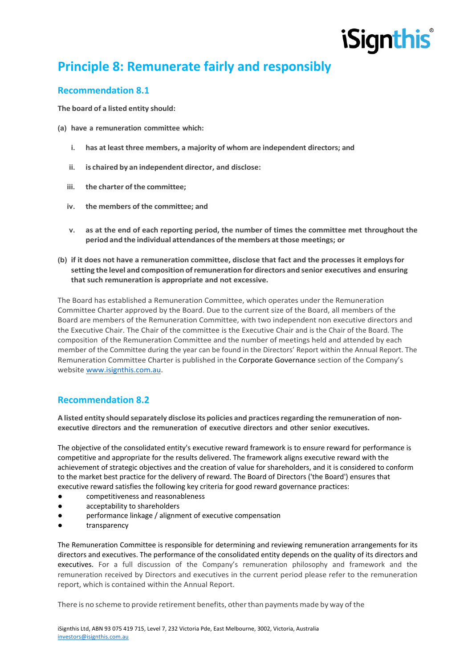# **Principle 8: Remunerate fairly and responsibly**

# **Recommendation 8.1**

**The board of a listed entity should:**

- **(a) have a remuneration committee which:**
	- **i. has at least three members, a majority of whom are independent directors; and**
	- **ii. is chaired by an independent director, and disclose:**
	- **iii. the charter of the committee;**
	- **iv. the members of the committee; and**
	- **v. as at the end of each reporting period, the number of times the committee met throughout the period and the individual attendances ofthe members atthose meetings; or**
- **(b) if it does not have a remuneration committee, disclose that fact and the processes it employsfor setting the level and composition ofremuneration for directors and senior executives and ensuring that such remuneration is appropriate and not excessive.**

The Board has established a Remuneration Committee, which operates under the Remuneration Committee Charter approved by the Board. Due to the current size of the Board, all members of the Board are members of the Remuneration Committee, with two independent non executive directors and the Executive Chair. The Chair of the committee is the Executive Chair and is the Chair of the Board. The composition of the Remuneration Committee and the number of meetings held and attended by each member of the Committee during the year can be found in the Directors' Report within the Annual Report. The Remuneration Committee Charter is published in the Corporate Governance section of the Company's website www.isignthis.com.au.

# **Recommendation 8.2**

**A listed entity should separately disclose its policies and practicesregarding the remuneration of nonexecutive directors and the remuneration of executive directors and other senior executives.**

The objective of the consolidated entity's executive reward framework is to ensure reward for performance is competitive and appropriate for the results delivered. The framework aligns executive reward with the achievement of strategic objectives and the creation of value for shareholders, and it is considered to conform to the market best practice for the delivery of reward. The Board of Directors ('the Board') ensures that executive reward satisfies the following key criteria for good reward governance practices:

- competitiveness and reasonableness
- acceptability to shareholders
- performance linkage / alignment of executive compensation
- transparency

The Remuneration Committee is responsible for determining and reviewing remuneration arrangements for its directors and executives. The performance of the consolidated entity depends on the quality of its directors and executives. For a full discussion of the Company's remuneration philosophy and framework and the remuneration received by Directors and executives in the current period please refer to the remuneration report, which is contained within the Annual Report.

There is no scheme to provide retirement benefits, otherthan payments made by way ofthe